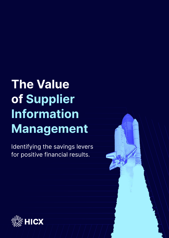# **The Value of Supplier Information Management**

Identifying the savings levers for positive financial results.

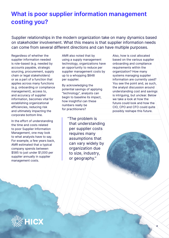# **What is poor supplier information management costing you?**

Supplier relationships in the modern organization take on many dynamics based on stakeholder involvement. What this means is that supplier information needs can come from several different directions and can have multiple purposes.

Regardless of whether the supplier information needed is role-based (e.g. needed by accounts payable, strategic sourcing, procurement, supply chain or legal stakeholders) or as a part of a function that applies across many functions (e.g. onboarding or compliance management), access to, and accuracy of supplier information, becomes vital for establishing organizational efficiencies, reducing risk and ultimately impacting the corporate bottom line.

In the effort of understanding the time and costs related to poor Supplier Information Management, one may look to what analysts have to say. For example, a few years back, AMR estimated that a typical company spends between \$585 to just under \$1,000 per supplier annually in supplier management costs.

AMR also noted that by using a supply management technology, organizations have an opportunity to reduce per supplier management costs by up to a whopping \$848 per supplier.

By acknowledging the potential savings of applying "technology", analysts can begin to baseline its impact, how insightful can these numbers really be for practitioners?

> " The problem is that understanding per supplier costs requires many assumptions that can vary widely by organization due to size, industry, or geography."

Also, how is cost allocated based on the various supplier onboarding and compliance requirements within the organization? How many systems managing supplier information are currently used? You see the point and, as such, the analyst discussion around understanding cost and savings is intriguing, but unclear. Below we take a look at how the future could look and how the CIO, CPO and CFO could quite possibly reshape this future.



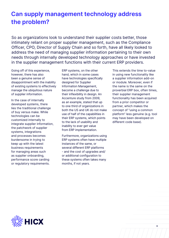## **Can supply management technology address the problem?**

So as organizations look to understand their supplier costs better, those intimately reliant on proper supplier management, such as the Compliance Officer, CPO, Director of Supply Chain and so forth, have all likely looked to address the need of managing supplier information pertaining to their own needs through internally developed technology approaches or have invested in the supplier management functions with their current ERP providers.

Going off of this experience, however, there has also been a genuine sense of disappointment with the inability of existing systems to effectively manage the ubiquitous nature of supplier information.

In the case of internally developed systems, there lies the traditional challenge of buy versus make. While technologies can be customized internally to integrate supplier information, the patchwork of supplier systems, integrations and processes becomes burdensome in trying to keep up with the latest business requirements for managing areas such as supplier onboarding, performance score carding or regulatory requirements.

ERP systems, on the other hand, which in some cases have technologies specifically designed for Supplier Information Management, become a challenge due to their inflexibility in design. An Accenture study from 2009, as an example, stated that up to one third of organizations in both the US and UK do not make use of half of the capabilities in their ERP systems, which points to the lack of usability and inability to ever get value from ERP implementation.

Furthermore, organizations using ERP systems often have multiple instances of the same, or several different ERP platforms - and the cost of upgrades and/ or additional configuration to these systems often takes many months, if not years.

This extends the time to-value in using new functionality like a supplier information add-on or module. Moreover, even if the name is the same on the proverbial ERP box, often times, their supplier management functionality has been acquired from a prior competitor or partner, which makes the concept of "using a common platform" less genuine (e.g. tool may have been developed on different code base).

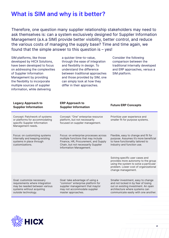### **What is SIM and why is it better?**

Therefore, one question many supplier relationship stakeholders may need to ask themselves is: can a system exclusively designed for Supplier Information Management (a.k.a SIM) provide better visibility, better control, and reduce the various costs of managing the supply base? Time and time again, we found that the simple answer to this question is – yes!

a quicker time-to-value, through the ease of integration and flexibility in design. To understand the difference between traditional approaches and those provided by SIM, one can simply look at how they differ in their approaches.

Consider the following comparison between the traditional internally developed and ERP approaches, versus a SIM platform.

| <b>Legacy Approach to</b><br><b>Supplier Information</b>                                                                                         | <b>ERP Approach to</b><br><b>Supplier Information</b>                                                                                                                                  | <b>Future ERP Concepts</b>                                                                                                                                                                 |
|--------------------------------------------------------------------------------------------------------------------------------------------------|----------------------------------------------------------------------------------------------------------------------------------------------------------------------------------------|--------------------------------------------------------------------------------------------------------------------------------------------------------------------------------------------|
| Concept: Patchwork of systems<br>or platforms for accommodating<br>specific Supplier Information<br>Management needs.                            | Concept: "One" enterprise resource<br>platform, but not necessarily<br>focused on supplier management.                                                                                 | Prioritize user experience and<br>smaller fit for purpose systems.                                                                                                                         |
| Focus: on customizing systems<br>internally and keeping existing<br>systems in place through<br>customizations.                                  | Focus: on enterprise processes across<br>multiple functions that may include<br>Finance, HR, Procurement, and Supply<br>Chain, but not necessarily Supplier<br>Information Management. | Flexible, easy to change and fit for<br>purpose. Assumes it's more beneficial<br>to have functionality tailored to<br>industry and function use.                                           |
|                                                                                                                                                  |                                                                                                                                                                                        | Solving specific user cases and<br>provides more autonomy to the group<br>using the system to solve a particular<br>problem. Lower cost of organizational<br>change management.            |
| Goal: customize necessary<br>requirements where integration<br>may be needed between various<br>systems without acquiring<br>outside technology. | Goal: take advantage of using a<br>"common" enterprise platform for<br>supplier management that may/or<br>may not accommodate supplier<br>master approaches.                           | Smaller investment, easy to change<br>and not locked in by fear of losing<br>out on existing investment. An open<br>architecture where systems can<br>communicate easily with one another. |

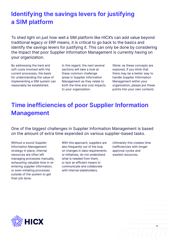# **Identifying the savings levers for justifying a SIM platform**

To shed light on just how well a SIM platform like HICX's can add value beyond traditional legacy or ERP means, it is critical to go back to the basics and identify the savings levers for justifying it. This can only be done by considering the impact that poor Supplier Information Management is currently having on your organization.

By addressing the hard and soft costs involved with the current processes, the basis for understanding the value of implementing a SIM system can reasonably be established.

In this regard, the next several sections will take a look at these common challenge areas in Supplier Information Management as they relate to both the time and cost impacts to your organization.

(Note: as these concepts are explored, if you think that there may be a better way to handle Supplier Information Management within your organization, please put these points into your own context).

# **Time inefficiencies of poor Supplier Information Management**

One of the biggest challenges in Supplier Information Management is based on the amount of extra time expended on various supplier-based tasks.

Without a sound Supplier Information Management strategy in place, internal resources are often left managing processes manually, exhausting valuable time in reentering supplier information, or even initiating processes outside of the system to get their job done.

With this approach, suppliers are also frequently out of the loop on changes in data requirements or initiatives, do not understand what is needed from them, or lack an efficient means to communicate and collaborate with internal stakeholders.

Ultimately this creates time inefficiencies with longer approval cycles and wasted resources.

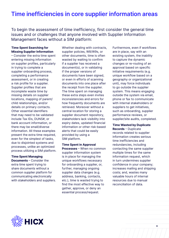### **Time inefficiencies in core supplier information areas**

To begin the assessment of time inefficiency, first consider the general time issues and or challenges that anyone involved with Supplier Information Management faces without a SIM platform:

#### **Time Spent Searching for Missing Supplier Information**

– Consider the extra time spent entering missing information on supplier profiles, particularly in trying to complete a supplier onboarding process, completing a performance assessment, or in creating a risk profile for a supplier. Supplier profiles that are incomplete waste time by missing details on supplier locations, mapping of parent/ child relationships, and/or details on primary contacts. Other essential identifiers that may need to be validated include Tax IDs, DUNS#, or bank account information, or there may be small/diverse information. All these examples present the extra time required, even for the simplest of tasks, due to disjointed systems and processes, unlike an optimized process utilizing a SIM platform.

#### **Time Spent Managing Documents** – Consider the extra time spent trying to share documents without a

common supplier platform for communicating electronically with stakeholders and suppliers. Whether dealing with contracts, supplier policies, W8/W9s, or other documents, time is often wasted by waiting to confirm if a supplier has received a document(s), or in validating if the proper versions of documents have been signed, or even in efforts of scanning documents into one place after the receipt from the supplier. The time spent on managing these extra steps even invites inconsistencies and errors for how frequently documents are retrieved. Moreover without a central location for storing a supplier document repository, stakeholders lack visibility into expiry dates, updated financial information or other risk-based alerts that could be easily provided by using a SIM platform.

**Time Spent in Approval Processes** – When no common supplier information system is in place for managing the unique workflows necessary for onboarding a supplier, or, further, managing ongoing supplier data changes (e.g. address, banking, contacts, etc.), time is wasted trying to find the most effective way to gather, approve, or deny an essential process/request.

Furthermore, even if workflows are in place, say with an existing system, the inability to capture the dynamic changes or re-routing of an approval based on specific initiative requirements (e.g. unique workflow based on a geography or organizational unit), may force individuals to go outside the supplier system. This means engaging outside the system via email, phone or fax to communicate with internal stakeholders or suppliers to get initiatives, such as onboarding, supplier performance reviews, or supplier/site audits, completed.

### **Time Wasted by Duplicate**

**Records** – Duplicate records related to supplier information creates serious time inefficiencies and redundancies, including contacting the same supplier multiple times for the same information request, which in turn undermines supplier confidence in your company; increases mailing and shipping costs; and, wastes many valuable hours of internal resources due to manual reconciliation of data.

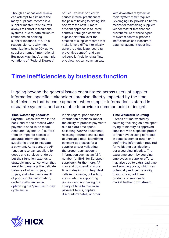Though an occasional review can attempt to eliminate the many duplicate records in a supplier master, this task will always fall short in traditional systems, due to data structure limitations on banking, supplier locations, etc. This reason, alone, is why most organizations have 20+ active suppliers named "International Business Machines", or multiple variations of "Federal Express"

or "Fed Express" or "FedEx" causes internal practitioners the pain of having to distinguish one from the next. A more efficient approach is to install controls, through a common supplier platform, over the creation of supplier records that make it more difficult to initially generate a duplicate record (a preventive control), and can roll supplier "relationships" into one view, yet can communicate

with downstream system as their "system view" requires. Leveraging SIM provides a better means for maintaining supplier/ vendor master files that can prevent failure of these types of system controls, process inefficiencies and inaccurate data management reporting.

### **Time inefficiencies by business function**

In going beyond the general issues encountered across users of supplier information, specific stakeholders are also directly impacted by the time inefficiencies that become apparent when supplier information is stored in disparate systems, and are unable to provide a common point of insight:

#### **Time Wasted by Accounts**

**Payabl**e – Often involved in the back-end of the process when payments need to be made, Accounts Payable (AP) suffers from an impaired access to accurate information on a supplier in order to instigate a payment. At its core, the AP function is to pay suppliers for goods and services rendered, but their function extends to strategic importance when they are able to manage the delicate balance of whom to pay, how to pay, and when. As a result of poor supplier information, certain inefficiencies in optimizing the "procure-to-pay" cycle ensue.

In this regard, poor supplier information practices impact the ability to process payments due to extra time spent collecting W8/W9 documents, reissuing returned checks due to unreliable data, identifying payment addresses for a supplier and/or validating the proper bank account information such as an ABA number (or IBAN for European suppliers). Furthermore, AP may end up spending more time in dealing with help desk calls (e.g. invoice, collection, status, etc.) in supporting issues – and not having the luxury of time to maximize payment terms, capture discounts/rebates, or other.

#### **Time Wasted in Sourcing**

– Areas of time wasted by sourcing focusing on time spent trying to identify all approved suppliers with a specific profile or that have existing contracts in some system or other, or in confirming information required for validating certifications per a sourcing initiative. The extra time spent by sourcing employees in supplier efforts may also add to extra lead time and sourcing costs, which can potentially reduce the ability to introduce / add new products or services to market further downstream.

**7**

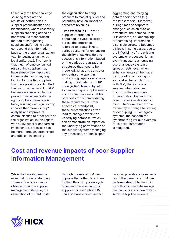Essentially the time challenge sourcing faces are the results of inefficiencies in supplier prequalification and identification, where essentially suppliers are being added ad hoc without a standardized method of categorizing suppliers and/or being able to correspond this information back to the proper organization (e.g. by business unit, or by legal entity, etc.). The irony is that much of time consumed researching suppliers may have already been approved in one system or other, (e.g. looking for qualified suppliers that have previously submitted their information via RFI or RFP, but were not selected for that project or initiative). With the right supplier information in hand, sourcing can significantly improve the "make vs. buy" analysis and improve its communication to other parts of the organization. In this regard, with a SIM supplier onboarding implemented, processes can be more thorough, streamlined and efficient in enabling

the organization to bring products to market quicker and potentially have an impact on corporate revenues.

**Time Wasted in IT** – When supplier information is contained in systems strewn across the enterprise, IT is forced to create links to various systems for enhancing the ability of stakeholders to access this information, based on the various organizational structures that need to be modelled. What this translates to is extra time spent in customizing legacy systems or making modifications to ERP code (ABAP, Java, Ruby, etc.) to handle unique supplier needs such as custom views, tables or reports for accommodating these requirements. From a technical standpoint, these customizations often lead to changes within the underlying database, which can demonstrate an impact on the underlying performance of the supplier systems managing key processes, or time is spent

aggregating and merging data for point needs (e.g. the latest report). Moreover, during times of corporate change such as an M&A or divestiture, the demand upon IT is elevated, as "decoupling" or "combining" information in a sensible structure becomes difficult. In some cases, due to the inflexibility of the existing systems or processes, it may even translate to an ongoing use of a legacy system or spreadsheets, even when enhancements can be made by upgrading or moving to a so-called better platform. With SIM, the focus is on supplier information and built from the ground up for integration, but with the core business relationship in mind. Therefore, even with a frequency in change for adding or decoupling ERP or legacy systems, the concern for synchronizing various systems for supplier information is mitigated.

### **Cost and revenue impacts of poor Supplier Information Management**

While the time dynamic is essential for understanding where efficiencies can be obtained during a supplier management lifecycle, the elimination of current costs

through the use of SIM can improve the bottom line. Even further, through quicker cycle times and the elimination of supply chain disruption SIM can also have a direct impact

on an organization's sales. As a result the benefits of SIM can be taken straight to the CFO as both an immediate savings mechanisms and a new way to increase top-line revenue.



**8**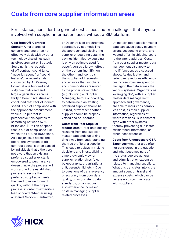### **Costs from core supplier information areas**

For instance, consider the general cost issues and or challenges that anyone involved with supplier information faces without a SIM platform:

#### **Cost from Off-Contract**

**Spend** – A major area of concern, and one often not effectively dealt with by other technology disciplines such as eProcurement or Strategic Sourcing, is the reduction of off contract spend (a.k.a. "maverick spend" or "spend leakage"). A recent study conducted by AT Kearney looked at one hundred and sixty two mid-sized and large organizations across thirty different industries and concluded that 35% of indirect spend is out of compliance with the appropriate procurement vehicle. To put that in perspective, this equates to something between \$750 billion and \$1 trillion of spend that is out of compliance just within the Fortune 1000 alone. As a major issue across the board, the symptom of offcontract spend is often caused by individuals that either: are not aware that an existing, preferred supplier exists; is empowered to purchase, yet doesn't know the process; will work around the established process to secure their preferred supplier; or, feels the need to move forward quickly, without the proper process, in order to expedite a lean onboard. Whether using a Shared-Service, Centralized,

or Decentralized procurement approach, by not modelling the approach and closing the supplier onboarding gaps, the savings identified by sourcing is only an estimate used "on paper", versus a known effect on the bottom line. SIM, on the other hand, controls the supplier add requests and ensures that suppliers and commodities are routed to the proper stakeholder (e.g. Sourcing or Supplier Manager), before onboarding, to determine if an existing preferred supplier should be utilized, or whether another supplier should be properly vetted and on-boarded.

**Costs from Poor Supplier Master Data** – Poor data quality resulting from bad supplier master data ends up taking time away from understanding the true profile of a supplier. This leads to delays in making decisions and in establishing a more dynamic view of supplier relationships (e.g. by geography, organizational unit, parent/child, etc.). Due to questions of data relevancy or accuracy from poor data quality, or inconsistent data standards, organizations also experience increased costs in managing supplierrelated processes.

Ultimately, poor supplier master data can cause costly payment errors, accounting errors, and wasted effort in shipping costs to the wrong address. Costs from poor supplier master data management also apply to the IT function, as discussed above. As duplication and redundancy reduces efficiency, costly resources are spent on managing the data across the various systems. Organizations leveraging SIM, with a supplier master data management approach and governance, are able to incur considerably less cost, as their supplier information, regardless of where it resides, is in constant sync with other systems, thereby preventing duplicates, mismatched information, or other inconsistencies.

**Costs from Unnecessary G&A Expenses** –Another area often not considered in the equation and what becomes part of the status quo are general and administration expenses related to managing suppliers. What this translates into is the amount spent on travel and expense costs, which can be necessary to communicate with suppliers.

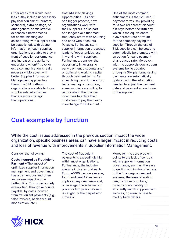Other areas that would need less outlay include unnecessary physical equipment (printers, scanners), extra postage, or other general administrative expenses if better means for communicating and collaborating with suppliers can be established. With deeper information on each supplier, organizations are able to stay in front of supplier performance, and increases the ability to understand when/if travel or extra communication is really necessary. Moreover, with better Supplier Information Management approaches through a SIM platform, organizations are able to focus supplier related activities that are more strategic than operational.

Costs/Missed Savings Opportunities – As part of a bigger process, how organizations work with their suppliers is also part of a longer cycle that most frequently starts with Sourcing and ends with Accounts Payable. But inconsistent supplier information processes leads to "opportunities lost" in working with suppliers. For instance, consider the opportunity in leveraging early payment discounts and/ or optimizing working capital through payment terms. As an evolving trend in the effort better managing cash flow, some suppliers are willing to participate in the financial incentives to entice their customers to pay them early in exchange for a discount.

One of the most common enticements is the 2/10 net 30 payment terms, say providing for a two (2) percent discount if it pays before the 10th day, which is the equivalent to a 36 percent rate of return for the company paying the supplier. Through the use of SIM, suppliers can be setup to automatically be prompted with an option for early payment at a reduced rate. Moreover, with the approvals downstream systems being updated through a SIM platform, issuing payments are automatically updated with the information needed to adjust the payment date and payment amount due to the supplier.

### **Cost examples by function**

While the cost issues addressed in the previous section impact the wider organization, specific business areas can have a larger impact in reducing costs and loss of revenue with improvements in Supplier Information Management.

#### Consider the following:

**Costs Incurred by Fraudulent Payment** – The impact of optimized supplier information management and governance has a tremendous and often an unseen impact on the bottom line. This is particularly exemplified, through Accounts Payable, by costs incurred from fraudulent payments (e.g., false invoices, bank account modification, etc.).

The cost of fraudulent payments is exceedingly high within most organizations. For instance, the industry average indicates that each Fortune1000 has, on average, four fraudulent AP instances in play at any one time – and, on average, the scheme is in place for two years before it is caught, or the perpetrator moves on.

Moreover, the core problem points to the lack of controls within supplier information governance, such as: the ease to getting administrator access to the finance/procurement systems; the ease of adding new/ fictitious suppliers; organization's inability to efficiently match suppliers with invoices; or, even, access to modify bank details.

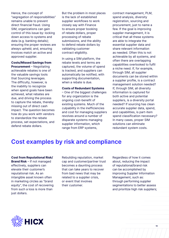Hence, the concept of "segregation of responsibilities" remains unable to prevent direct financial fraud. Using SIM, organizations can gain control of this issue by: locking down access to systems and data (e.g. banking details); ensuring the proper reviews are always upheld; and, ensuring invoices match an active and approved supplier.

#### **Costs/Missed Savings from**

**Procurement** – Negotiating achievable rebates is one of the valuable savings tools that Sourcing leverages. The difficulty, however, is the inability to recognize when spend goals have been achieved, what rebates are due, and driving the process to capture the rebate, thereby missing out of direct cash impact. The question becomes how do you work with vendors to standardize the rebate process, set expectations, and defend rebate dollars.

But the problem in most places is the lack of established supplier workflows to work closely say with Finance to ensure proper booking of rebate dollars, proper processing of rebate submissions, and the ability to defend rebate dollars by validating customer contract eligibility.

In using a SIM platform, the rebate levels and terms are captured, the volume of spend is tracked, and suppliers can automatically be notified, with supporting documentation, when a rebate is due.

#### **Costs of Redundant Systems**

– One of the biggest challenges for any organization is the ongoing cost-benefit of existing systems. Much of the culpability in the inefficiencies and cost for managing suppliers revolves around a number of disparate systems managing supplier information, which range from ERP systems,

contract management, PLM, spend analysis, diversity registration, sourcing and procurement, just to name a few. If the goal is improving supplier management, it is critical that all these systems are able to integrate the essential supplier data and share relevant information as needed. Often this is not achievable by all systems, and often there are overlapping capabilities overlooked to fulfil a niche need. If, for example, through SIM, all supplier documents can be stored within a supplier profile, is a contract management solution needed? If, through SIM, all diversity information is captured for both active and potential suppliers, is a diversity portal needed? If sourcing has clean accurate supplier data, spend, and capabilities, is part-item spend classification necessary? In many cases, proper SIM solutions can eliminate redundant system costs.

### **Cost examples by risk and compliance**

**Cost from Reputational Risk/ Brand Risk** – If not managed effectively, suppliers can elevate their customer's reputational risk. As an intangible asset known often in marketing circles as "brand equity", the cost of recovering from such a loss is more than just dollars.

Rebuilding reputation, market cap and customer/partner trust becomes a daunting process that can take years to recover from bad news that may be related to a supplier crisis, or event that involves their customer.

Regardless of how it comes about, reducing the impact of reputational/brand risk can be accomplished by improving Supplier Information Management, such as: through performing supplier segmentations to better assess and prioritize high risk suppliers;

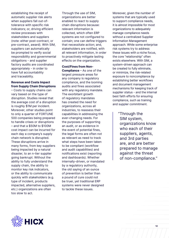establishing the receipt of automatic supplier risk alerts when suppliers fall out-oftolerance with specific risk indicators; or, driving efficient review processes with stakeholders and suppliers (note: either post-contract, or pre-contract, award). With SIM, suppliers can automatically be prompted to verify social responsibility and governmental obligations - and supplier factory audits are coordinated appropriately - in order to have full accountability and traceability.

#### **Revenue and Costs Impact from Supply Chain Disruptions**

– Costs to supply chains can vary based on the type of disruption. Studies reveal that the average cost of a disruption is roughly \$1M per incident. Moreover, other studies point to only a quarter of FORTUNE 500 companies being prepared to handle crises or disruptions – and that a \$50M to \$100M cost impact can be incurred for each day a company's supply chain network is disrupted. These disruptions arrive in many forms, from key suppliers being impacted by a natural disaster, to an n-tier supplier going bankrupt. Without the ability to fully understand the supply chain, the ability to monitor key risk indicators, or the ability to communicate quickly with stakeholders (e.g. type of incident, products impacted, alternative suppliers, etc.) organizations are often too slow to act.

Through the use of SIM, organizations are better enabled to react to supply chain disruptions because: relevant information is collected, which often ERP systems are not configured to contain; one can define triggers that necessitate action; and, stakeholders are notified, with all relevant information, in order to proactively mitigate lasting effects on the organization.

**Cost/Fines from Non-Compliance** – As one of the largest pressure areas for any company is regulatory compliance, and the looming audits and fines associated with any regulatory mandate. The exorbitant growth of regulatory mandates has created the need for organizations, across all industries, to reassess their capabilities in addressing the ever-changing needs. For the purposes of supporting an audit, or as evidence in the event of potential fines, the legal forms are often not as relevant as need to track what steps have been taken to be compliant (workflow and audit capabilities) and notifications exist (reporting and dashboards). Whether internally-driven, or mandated by a regulatory authority, the old saying of an ounce of prevention is better than a pound of cure could not be truer, yet traditional ERP systems were never designed to tackle these issues.

Moreover, given the number of systems that are typically used to support compliance needs, it is almost impossible for most organizations to adequately manage compliance needs without a centralized Supplier Information Management approach. While some enterprise risk systems try to address these issues with a niche focus, the core "relationship" often exists elsewhere. With SIM, a system-driven approach can be created to fully eliminate, or minimize, the risk-related exposure to noncompliance by establishing better workflows and document management mechanisms for keeping track of supplier status - and the internal best faith efforts for ensuring compliance, such as training and suppler commitment.

> " Through the SIM system, organizations know who each of their suppliers, agents, and 3rd parties are, and are better prepared to manage against the threat of non-compliance."

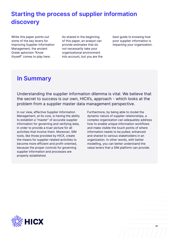## **Starting the process of supplier information discovery**

While this paper points out some of the key levers for improving Supplier Information Management, the ancient Greek aphorism "Know thyself" comes to play here.

As shared in the beginning of this paper, an analyst can provide estimates that do not necessarily take your organizational environment into account, but you are the best guide to knowing how poor supplier information is impacting your organization.

### **In Summary**

Understanding the supplier information dilemma is vital. We believe that the secret to success is our own, HICX's, approach - which looks at the problem from a supplier master data management perspective.

In our view, effective Supplier Information Management, at its core, is having the ability to establish a "master" of accurate supplier information for governing and verifying data, in order to provide a truer picture for all activities that involve them. Moreover, SIM tools, like those provided by HICX, create the means for supplier-related activities to become more efficient and profit-oriented, because the proper controls for governing supplier information and processes are properly established.

Furthermore, by being able to model the dynamic nature of supplier relationships, a complex organization can adequately address how to enable unique information workflows and make visible the touch points of where information needs to be pulled, enhanced and shared to various stakeholders in an organization. In other words, with better modelling, you can better understand the value levers that a SIM platform can provide.